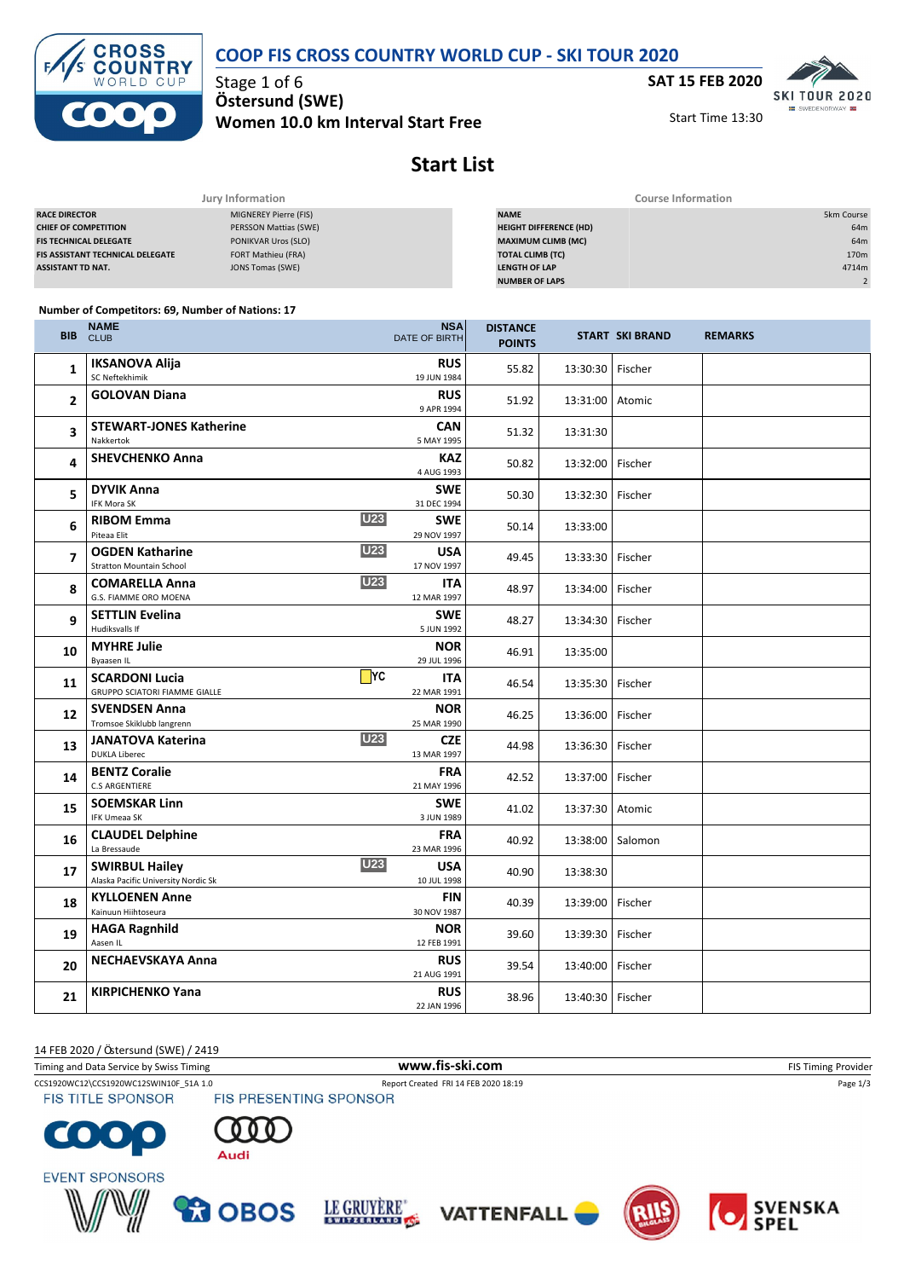#### **COOP FIS CROSS COUNTRY WORLD CUP - SKI TOUR 2020**



Stage 1 of 6 **Ö stersund (SWE) Women 10.0 km Interval Start Free** **SAT 15 FEB 2020**<br>**SKI TOUR 2020** 

Start Time 13:30

SWEDENOR



| Jury Information                        |                       | <b>Course Information</b>     |                  |  |  |
|-----------------------------------------|-----------------------|-------------------------------|------------------|--|--|
| <b>RACE DIRECTOR</b>                    | MIGNEREY Pierre (FIS) | <b>NAME</b>                   | 5km Course       |  |  |
| <b>CHIEF OF COMPETITION</b>             | PERSSON Mattias (SWE) | <b>HEIGHT DIFFERENCE (HD)</b> | 64m              |  |  |
| <b>FIS TECHNICAL DELEGATE</b>           | PONIKVAR Uros (SLO)   | <b>MAXIMUM CLIMB (MC)</b>     | 64m              |  |  |
| <b>FIS ASSISTANT TECHNICAL DELEGATE</b> | FORT Mathieu (FRA)    | <b>TOTAL CLIMB (TC)</b>       | 170 <sub>m</sub> |  |  |
| <b>ASSISTANT TD NAT.</b>                | JONS Tomas (SWE)      | <b>LENGTH OF LAP</b>          | 4714m            |  |  |
|                                         |                       | <b>NUMBER OF LAPS</b>         |                  |  |  |

#### **Number of Competitors: 69, Number of Nations: 17**

| <b>IKSANOVA Alija</b><br><b>RUS</b><br>1<br>55.82<br>Fischer<br>13:30:30<br>SC Neftekhimik<br>19 JUN 1984<br><b>GOLOVAN Diana</b><br><b>RUS</b><br>2<br>51.92<br>13:31:00<br>Atomic<br>9 APR 1994<br><b>STEWART-JONES Katherine</b><br><b>CAN</b><br>3<br>51.32<br>13:31:30<br>Nakkertok<br>5 MAY 1995<br><b>SHEVCHENKO Anna</b><br><b>KAZ</b><br>4<br>50.82<br>Fischer<br>13:32:00<br>4 AUG 1993<br><b>DYVIK Anna</b><br><b>SWE</b><br>5<br>Fischer<br>50.30<br>13:32:30<br><b>IFK Mora SK</b><br>31 DEC 1994<br><b>U23</b><br><b>SWE</b><br><b>RIBOM Emma</b><br>6<br>50.14<br>13:33:00<br>Piteaa Elit<br>29 NOV 1997<br><b>U23</b><br><b>OGDEN Katharine</b><br><b>USA</b><br>7<br>Fischer<br>49.45<br>13:33:30<br>17 NOV 1997<br><b>Stratton Mountain School</b><br><b>U23</b><br><b>COMARELLA Anna</b><br><b>ITA</b><br>8<br>48.97<br>13:34:00<br>Fischer<br>G.S. FIAMME ORO MOENA<br>12 MAR 1997<br><b>SETTLIN Evelina</b><br><b>SWE</b><br>9<br>48.27<br>Fischer<br>13:34:30<br>Hudiksvalls If<br>5 JUN 1992<br><b>MYHRE Julie</b><br><b>NOR</b><br>10<br>46.91<br>13:35:00<br>Byaasen IL<br>29 JUL 1996<br>$\n  TYC\n$<br><b>SCARDONI Lucia</b><br><b>ITA</b><br>11<br>Fischer<br>46.54<br>13:35:30<br>GRUPPO SCIATORI FIAMME GIALLE<br>22 MAR 1991<br><b>SVENDSEN Anna</b><br><b>NOR</b> |  |
|---------------------------------------------------------------------------------------------------------------------------------------------------------------------------------------------------------------------------------------------------------------------------------------------------------------------------------------------------------------------------------------------------------------------------------------------------------------------------------------------------------------------------------------------------------------------------------------------------------------------------------------------------------------------------------------------------------------------------------------------------------------------------------------------------------------------------------------------------------------------------------------------------------------------------------------------------------------------------------------------------------------------------------------------------------------------------------------------------------------------------------------------------------------------------------------------------------------------------------------------------------------------------------------------------|--|
|                                                                                                                                                                                                                                                                                                                                                                                                                                                                                                                                                                                                                                                                                                                                                                                                                                                                                                                                                                                                                                                                                                                                                                                                                                                                                                   |  |
|                                                                                                                                                                                                                                                                                                                                                                                                                                                                                                                                                                                                                                                                                                                                                                                                                                                                                                                                                                                                                                                                                                                                                                                                                                                                                                   |  |
|                                                                                                                                                                                                                                                                                                                                                                                                                                                                                                                                                                                                                                                                                                                                                                                                                                                                                                                                                                                                                                                                                                                                                                                                                                                                                                   |  |
|                                                                                                                                                                                                                                                                                                                                                                                                                                                                                                                                                                                                                                                                                                                                                                                                                                                                                                                                                                                                                                                                                                                                                                                                                                                                                                   |  |
|                                                                                                                                                                                                                                                                                                                                                                                                                                                                                                                                                                                                                                                                                                                                                                                                                                                                                                                                                                                                                                                                                                                                                                                                                                                                                                   |  |
|                                                                                                                                                                                                                                                                                                                                                                                                                                                                                                                                                                                                                                                                                                                                                                                                                                                                                                                                                                                                                                                                                                                                                                                                                                                                                                   |  |
|                                                                                                                                                                                                                                                                                                                                                                                                                                                                                                                                                                                                                                                                                                                                                                                                                                                                                                                                                                                                                                                                                                                                                                                                                                                                                                   |  |
|                                                                                                                                                                                                                                                                                                                                                                                                                                                                                                                                                                                                                                                                                                                                                                                                                                                                                                                                                                                                                                                                                                                                                                                                                                                                                                   |  |
|                                                                                                                                                                                                                                                                                                                                                                                                                                                                                                                                                                                                                                                                                                                                                                                                                                                                                                                                                                                                                                                                                                                                                                                                                                                                                                   |  |
|                                                                                                                                                                                                                                                                                                                                                                                                                                                                                                                                                                                                                                                                                                                                                                                                                                                                                                                                                                                                                                                                                                                                                                                                                                                                                                   |  |
|                                                                                                                                                                                                                                                                                                                                                                                                                                                                                                                                                                                                                                                                                                                                                                                                                                                                                                                                                                                                                                                                                                                                                                                                                                                                                                   |  |
| 12<br>46.25<br>Fischer<br>13:36:00<br>Tromsoe Skiklubb langrenn<br>25 MAR 1990                                                                                                                                                                                                                                                                                                                                                                                                                                                                                                                                                                                                                                                                                                                                                                                                                                                                                                                                                                                                                                                                                                                                                                                                                    |  |
| <b>U23</b><br><b>CZE</b><br><b>JANATOVA Katerina</b><br>13<br>44.98<br>Fischer<br>13:36:30<br><b>DUKLA Liberec</b><br>13 MAR 1997                                                                                                                                                                                                                                                                                                                                                                                                                                                                                                                                                                                                                                                                                                                                                                                                                                                                                                                                                                                                                                                                                                                                                                 |  |
| <b>BENTZ Coralie</b><br><b>FRA</b><br>14<br>42.52<br>Fischer<br>13:37:00<br><b>C.S ARGENTIERE</b><br>21 MAY 1996                                                                                                                                                                                                                                                                                                                                                                                                                                                                                                                                                                                                                                                                                                                                                                                                                                                                                                                                                                                                                                                                                                                                                                                  |  |
| <b>SOEMSKAR Linn</b><br>SWE<br>15<br>41.02<br>13:37:30<br>Atomic<br><b>IFK Umeaa SK</b><br>3 JUN 1989                                                                                                                                                                                                                                                                                                                                                                                                                                                                                                                                                                                                                                                                                                                                                                                                                                                                                                                                                                                                                                                                                                                                                                                             |  |
| <b>CLAUDEL Delphine</b><br><b>FRA</b><br>16<br>40.92<br>13:38:00<br>Salomon<br>La Bressaude<br>23 MAR 1996                                                                                                                                                                                                                                                                                                                                                                                                                                                                                                                                                                                                                                                                                                                                                                                                                                                                                                                                                                                                                                                                                                                                                                                        |  |
| <b>U23</b><br><b>SWIRBUL Hailey</b><br><b>USA</b><br>17<br>40.90<br>13:38:30<br>Alaska Pacific University Nordic Sk<br>10 JUL 1998                                                                                                                                                                                                                                                                                                                                                                                                                                                                                                                                                                                                                                                                                                                                                                                                                                                                                                                                                                                                                                                                                                                                                                |  |
| <b>KYLLOENEN Anne</b><br><b>FIN</b><br>18<br>40.39<br>13:39:00<br>Fischer<br>Kainuun Hiihtoseura<br>30 NOV 1987                                                                                                                                                                                                                                                                                                                                                                                                                                                                                                                                                                                                                                                                                                                                                                                                                                                                                                                                                                                                                                                                                                                                                                                   |  |
| <b>HAGA Ragnhild</b><br><b>NOR</b><br>19<br>39.60<br>13:39:30<br>Fischer<br>Aasen IL<br>12 FEB 1991                                                                                                                                                                                                                                                                                                                                                                                                                                                                                                                                                                                                                                                                                                                                                                                                                                                                                                                                                                                                                                                                                                                                                                                               |  |
| NECHAEVSKAYA Anna<br><b>RUS</b><br>20<br>39.54<br>Fischer<br>13:40:00<br>21 AUG 1991                                                                                                                                                                                                                                                                                                                                                                                                                                                                                                                                                                                                                                                                                                                                                                                                                                                                                                                                                                                                                                                                                                                                                                                                              |  |
| <b>KIRPICHENKO Yana</b><br><b>RUS</b><br>21<br>Fischer<br>38.96<br>13:40:30<br>22 JAN 1996                                                                                                                                                                                                                                                                                                                                                                                                                                                                                                                                                                                                                                                                                                                                                                                                                                                                                                                                                                                                                                                                                                                                                                                                        |  |

14 FEB 2020 / Östersund (SWE) / 2419

| Timing and Data Service by Swiss Timing | www.fis-ski.com                      | <b>FIS Timing Provider</b> |
|-----------------------------------------|--------------------------------------|----------------------------|
| CCS1920WC12\CCS1920WC12SWIN10F 51A 1.0  | Report Created FRI 14 FEB 2020 18:19 | Page 1/3                   |
| <b>FIS TITLE SPONSOR</b>                | <b>FIS PRESENTING SPONSOR</b>        |                            |













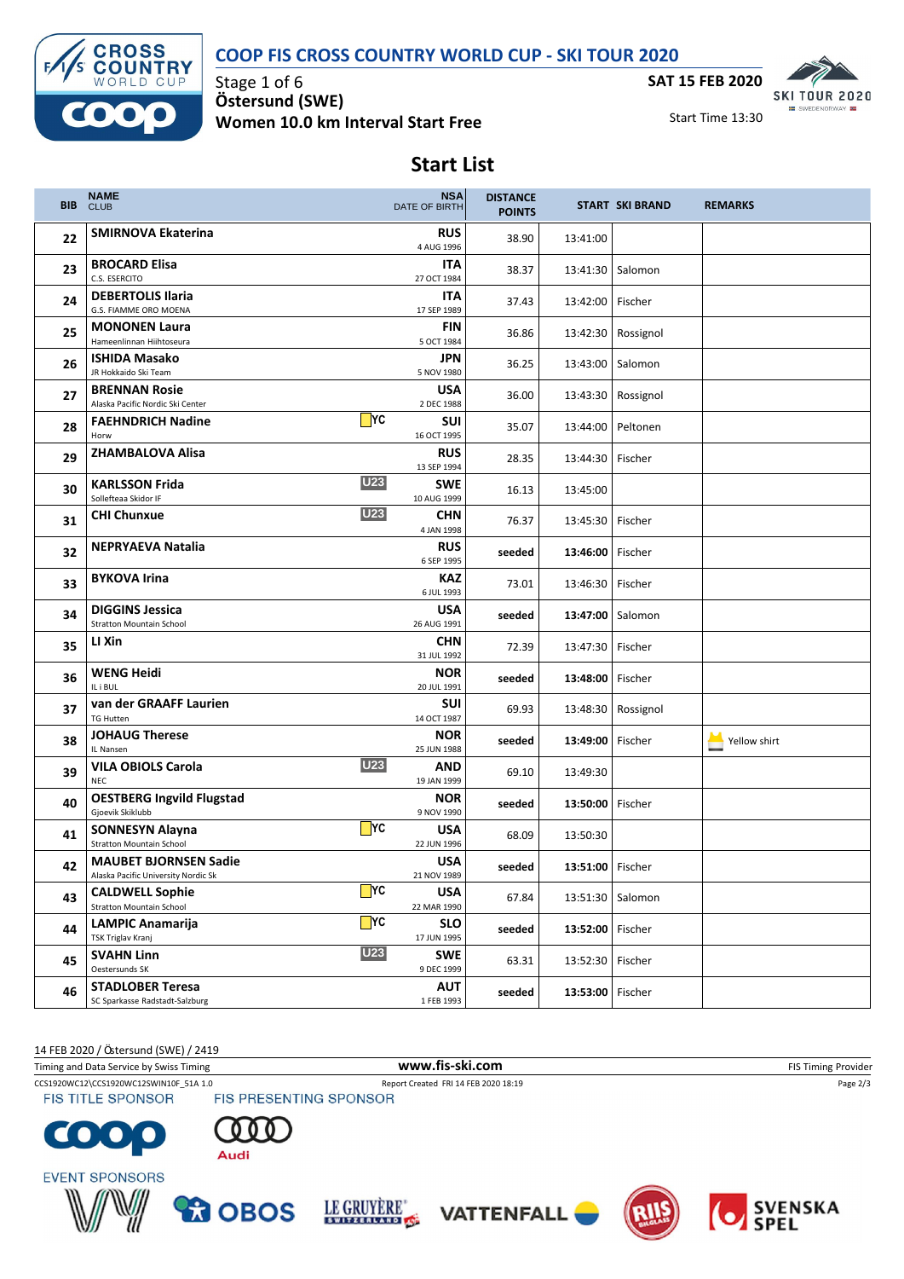## **COOP FIS CROSS COUNTRY WORLD CUP - SKI TOUR 2020**



Stage 1 of 6 **Ö stersund (SWE) Women 10.0 km Interval Start Free**



Start Time 13:30

# **Start List**

| <b>BIB</b> | <b>NAME</b><br><b>CLUB</b>                                          |                   | <b>NSA</b><br>DATE OF BIRTH | <b>DISTANCE</b><br><b>POINTS</b> |                    | <b>START SKI BRAND</b> | <b>REMARKS</b> |
|------------|---------------------------------------------------------------------|-------------------|-----------------------------|----------------------------------|--------------------|------------------------|----------------|
| 22         | <b>SMIRNOVA Ekaterina</b>                                           |                   | <b>RUS</b><br>4 AUG 1996    | 38.90                            | 13:41:00           |                        |                |
| 23         | <b>BROCARD Elisa</b><br>C.S. ESERCITO                               |                   | ITA<br>27 OCT 1984          | 38.37                            | 13:41:30   Salomon |                        |                |
| 24         | <b>DEBERTOLIS Ilaria</b><br>G.S. FIAMME ORO MOENA                   |                   | ITA<br>17 SEP 1989          | 37.43                            | 13:42:00           | Fischer                |                |
| 25         | <b>MONONEN Laura</b><br>Hameenlinnan Hiihtoseura                    |                   | FIN<br>5 OCT 1984           | 36.86                            | 13:42:30           | Rossignol              |                |
| 26         | <b>ISHIDA Masako</b><br>JR Hokkaido Ski Team                        |                   | JPN<br>5 NOV 1980           | 36.25                            | 13:43:00           | Salomon                |                |
| 27         | <b>BRENNAN Rosie</b><br>Alaska Pacific Nordic Ski Center            |                   | <b>USA</b><br>2 DEC 1988    | 36.00                            |                    | 13:43:30   Rossignol   |                |
| 28         | <b>FAEHNDRICH Nadine</b><br>Horw                                    | $\blacksquare$ YC | SUI<br>16 OCT 1995          | 35.07                            | 13:44:00           | Peltonen               |                |
| 29         | <b>ZHAMBALOVA Alisa</b>                                             |                   | <b>RUS</b><br>13 SEP 1994   | 28.35                            | 13:44:30   Fischer |                        |                |
| 30         | <b>KARLSSON Frida</b><br>Sollefteaa Skidor IF                       | <b>U23</b>        | <b>SWE</b><br>10 AUG 1999   | 16.13                            | 13:45:00           |                        |                |
| 31         | <b>CHI Chunxue</b>                                                  | <b>U23</b>        | <b>CHN</b><br>4 JAN 1998    | 76.37                            | 13:45:30   Fischer |                        |                |
| 32         | <b>NEPRYAEVA Natalia</b>                                            |                   | <b>RUS</b><br>6 SEP 1995    | seeded                           | 13:46:00   Fischer |                        |                |
| 33         | <b>BYKOVA Irina</b>                                                 |                   | KAZ<br>6 JUL 1993           | 73.01                            | 13:46:30           | Fischer                |                |
| 34         | <b>DIGGINS Jessica</b><br><b>Stratton Mountain School</b>           |                   | <b>USA</b><br>26 AUG 1991   | seeded                           | 13:47:00   Salomon |                        |                |
| 35         | LI Xin                                                              |                   | <b>CHN</b><br>31 JUL 1992   | 72.39                            | 13:47:30           | Fischer                |                |
| 36         | WENG Heidi<br>IL i BUL                                              |                   | <b>NOR</b><br>20 JUL 1991   | seeded                           | 13:48:00           | Fischer                |                |
| 37         | van der GRAAFF Laurien<br><b>TG Hutten</b>                          |                   | SUI<br>14 OCT 1987          | 69.93                            | 13:48:30           | Rossignol              |                |
| 38         | <b>JOHAUG Therese</b><br>IL Nansen                                  |                   | <b>NOR</b><br>25 JUN 1988   | seeded                           | 13:49:00   Fischer |                        | Yellow shirt   |
| 39         | <b>VILA OBIOLS Carola</b><br><b>NEC</b>                             | <b>U23</b>        | <b>AND</b><br>19 JAN 1999   | 69.10                            | 13:49:30           |                        |                |
| 40         | <b>OESTBERG Ingvild Flugstad</b><br>Gjoevik Skiklubb                |                   | <b>NOR</b><br>9 NOV 1990    | seeded                           | 13:50:00   Fischer |                        |                |
| 41         | <b>SONNESYN Alayna</b><br><b>Stratton Mountain School</b>           | $\Box$ YC         | <b>USA</b><br>22 JUN 1996   | 68.09                            | 13:50:30           |                        |                |
| 42         | <b>MAUBET BJORNSEN Sadie</b><br>Alaska Pacific University Nordic Sk |                   | <b>USA</b><br>21 NOV 1989   | seeded                           | 13:51:00 Fischer   |                        |                |
| 43         | <b>CALDWELL Sophie</b><br><b>Stratton Mountain School</b>           | $\Box$ YC         | <b>USA</b><br>22 MAR 1990   | 67.84                            |                    | 13:51:30   Salomon     |                |
| 44         | <b>LAMPIC Anamarija</b><br>TSK Triglav Kranj                        | $\Box$ YC         | <b>SLO</b><br>17 JUN 1995   | seeded                           | 13:52:00 Fischer   |                        |                |
| 45         | <b>SVAHN Linn</b><br>Oestersunds SK                                 | <b>U23</b>        | <b>SWE</b><br>9 DEC 1999    | 63.31                            | 13:52:30           | Fischer                |                |
| 46         | <b>STADLOBER Teresa</b><br>SC Sparkasse Radstadt-Salzburg           |                   | AUT<br>1 FEB 1993           | seeded                           | 13:53:00           | Fischer                |                |

14 FEB 2020 / Östersund (SWE) / 2419

CCS1920WC12\CCS1920WC12SWIN10F\_51A 1.0 Report Created FRI 14 FEB 2020 18:19<br>
FIS TITLE SPONSOR FIS PRESENTING SPONSOR Timing and Data Service by Swiss Timing **WWW.fis-Ski.com WWW.fis-Ski.com** FIS Timing Provider

**FIS TITLE SPONSOR**